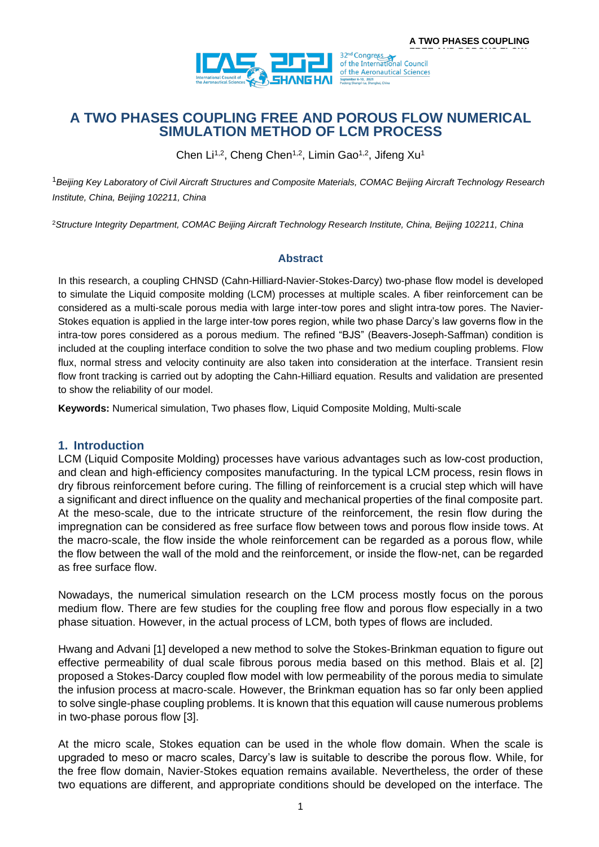

# **A TWO PHASES COUPLING FREE AND POROUS FLOW NUMERICAL SIMULATION METHOD OF LCM PROCESS**

Chen Li<sup>1,2</sup>, Cheng Chen<sup>1,2</sup>, Limin Gao<sup>1,2</sup>, Jifeng Xu<sup>1</sup>

<sup>1</sup>*Beijing Key Laboratory of Civil Aircraft Structures and Composite Materials, COMAC Beijing Aircraft Technology Research Institute, China, Beijing 102211, China*

<sup>2</sup>*Structure Integrity Department, COMAC Beijing Aircraft Technology Research Institute, China, Beijing 102211, China*

### **Abstract**

In this research, a coupling CHNSD (Cahn-Hilliard-Navier-Stokes-Darcy) two-phase flow model is developed to simulate the Liquid composite molding (LCM) processes at multiple scales. A fiber reinforcement can be considered as a multi-scale porous media with large inter-tow pores and slight intra-tow pores. The Navier-Stokes equation is applied in the large inter-tow pores region, while two phase Darcy's law governs flow in the intra-tow pores considered as a porous medium. The refined "BJS" (Beavers-Joseph-Saffman) condition is included at the coupling interface condition to solve the two phase and two medium coupling problems. Flow flux, normal stress and velocity continuity are also taken into consideration at the interface. Transient resin flow front tracking is carried out by adopting the Cahn-Hilliard equation. Results and validation are presented to show the reliability of our model.

**Keywords:** Numerical simulation, Two phases flow, Liquid Composite Molding, Multi-scale

### **1. Introduction**

LCM (Liquid Composite Molding) processes have various advantages such as low-cost production, and clean and high-efficiency composites manufacturing. In the typical LCM process, resin flows in dry fibrous reinforcement before curing. The filling of reinforcement is a crucial step which will have a significant and direct influence on the quality and mechanical properties of the final composite part. At the meso-scale, due to the intricate structure of the reinforcement, the resin flow during the impregnation can be considered as free surface flow between tows and porous flow inside tows. At the macro-scale, the flow inside the whole reinforcement can be regarded as a porous flow, while the flow between the wall of the mold and the reinforcement, or inside the flow-net, can be regarded as free surface flow.

Nowadays, the numerical simulation research on the LCM process mostly focus on the porous medium flow. There are few studies for the coupling free flow and porous flow especially in a two phase situation. However, in the actual process of LCM, both types of flows are included.

Hwang and Advani [1] developed a new method to solve the Stokes-Brinkman equation to figure out effective permeability of dual scale fibrous porous media based on this method. Blais et al. [2] proposed a Stokes-Darcy coupled flow model with low permeability of the porous media to simulate the infusion process at macro-scale. However, the Brinkman equation has so far only been applied to solve single-phase coupling problems. It is known that this equation will cause numerous problems in two-phase porous flow [3].

At the micro scale, Stokes equation can be used in the whole flow domain. When the scale is upgraded to meso or macro scales, Darcy's law is suitable to describe the porous flow. While, for the free flow domain, Navier-Stokes equation remains available. Nevertheless, the order of these two equations are different, and appropriate conditions should be developed on the interface. The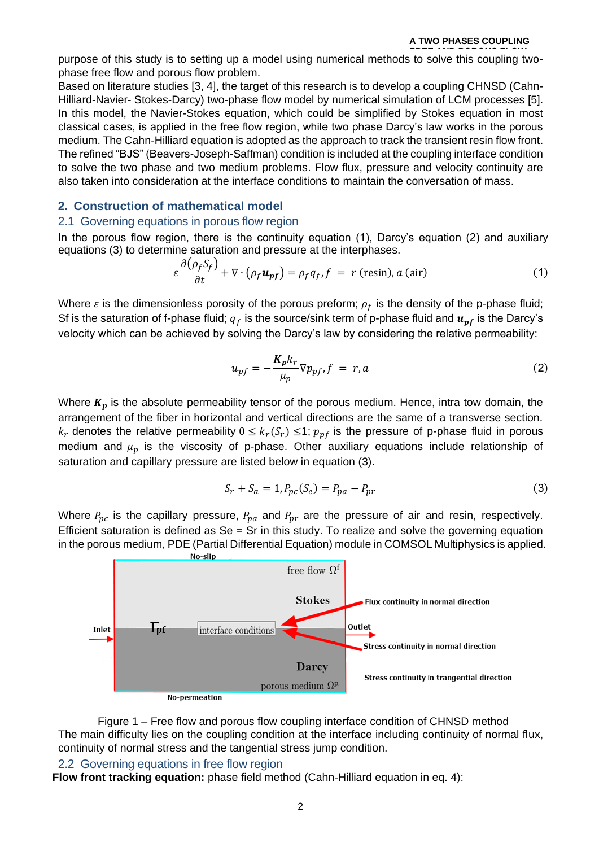#### **A TWO PHASES COUPLING**

**FREE AND POROUS FLOW** purpose of this study is to setting up a model using numerical methods to solve this coupling twophase free flow and porous flow problem.

Based on literature studies [3, 4], the target of this research is to develop a coupling CHNSD (Cahn-Hilliard-Navier- Stokes-Darcy) two-phase flow model by numerical simulation of LCM processes [5]. In this model, the Navier-Stokes equation, which could be simplified by Stokes equation in most classical cases, is applied in the free flow region, while two phase Darcy's law works in the porous medium. The Cahn-Hilliard equation is adopted as the approach to track the transient resin flow front. The refined "BJS" (Beavers-Joseph-Saffman) condition is included at the coupling interface condition to solve the two phase and two medium problems. Flow flux, pressure and velocity continuity are also taken into consideration at the interface conditions to maintain the conversation of mass.

## **2. Construction of mathematical model**

## 2.1 Governing equations in porous flow region

In the porous flow region, there is the continuity equation (1), Darcy's equation (2) and auxiliary equations (3) to determine saturation and pressure at the interphases.

$$
\varepsilon \frac{\partial (\rho_f S_f)}{\partial t} + \nabla \cdot (\rho_f \mathbf{u}_{pf}) = \rho_f q_f, f = r \text{ (resin)}, a \text{ (air)}
$$
 (1)

Where  $\varepsilon$  is the dimensionless porosity of the porous preform;  $\rho_f$  is the density of the p-phase fluid; Sf is the saturation of f-phase fluid;  $q_f$  is the source/sink term of p-phase fluid and  $u_{pf}$  is the Darcy's velocity which can be achieved by solving the Darcy's law by considering the relative permeability:

$$
u_{pf} = -\frac{K_p k_r}{\mu_p} \nabla p_{pf}, f = r, a \tag{2}
$$

Where  $K_p$  is the absolute permeability tensor of the porous medium. Hence, intra tow domain, the arrangement of the fiber in horizontal and vertical directions are the same of a transverse section.  $k_r$  denotes the relative permeability  $0 \leq k_r(S_r) \leq 1$ ;  $p_{pf}$  is the pressure of p-phase fluid in porous medium and  $\mu$  is the viscosity of p-phase. Other auxiliary equations include relationship of saturation and capillary pressure are listed below in equation (3).

$$
S_r + S_a = 1, P_{pc}(S_e) = P_{pa} - P_{pr}
$$
\n(3)

Where  $P_{\text{pc}}$  is the capillary pressure,  $P_{\text{pa}}$  and  $P_{\text{pr}}$  are the pressure of air and resin, respectively. Efficient saturation is defined as  $Se = Sr$  in this study. To realize and solve the governing equation in the porous medium, PDE (Partial Differential Equation) module in COMSOL Multiphysics is applied.



Figure 1 – Free flow and porous flow coupling interface condition of CHNSD method The main difficulty lies on the coupling condition at the interface including continuity of normal flux, continuity of normal stress and the tangential stress jump condition.

### 2.2 Governing equations in free flow region

**Flow front tracking equation:** phase field method (Cahn-Hilliard equation in eq. 4):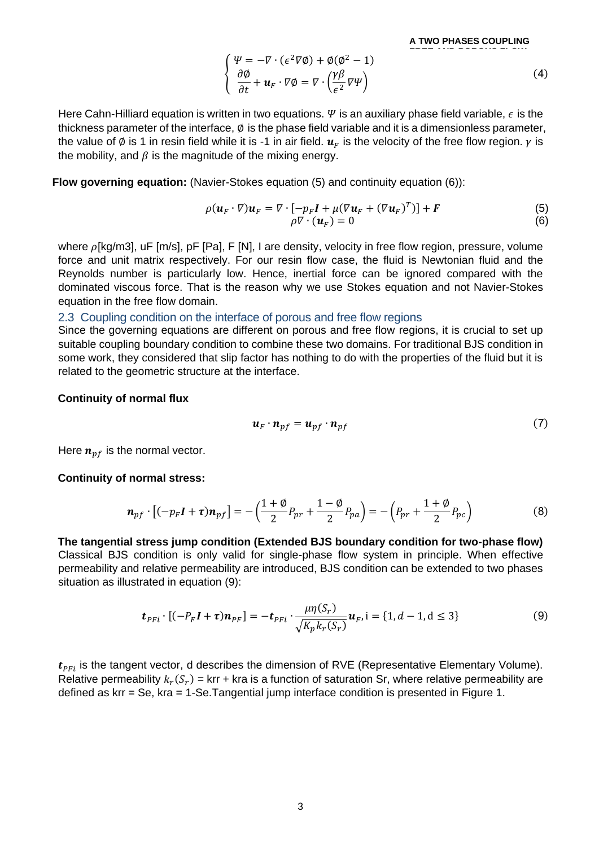**A TWO PHASES COUPLING** 

$$
\begin{cases}\n\Psi = -\nabla \cdot (\epsilon^2 \nabla \phi) + \phi (\phi^2 - 1) \\
\frac{\partial \phi}{\partial t} + \mathbf{u}_F \cdot \nabla \phi = \nabla \cdot \left(\frac{\gamma \beta}{\epsilon^2} \nabla \Psi\right)\n\end{cases}
$$
\n(4)

Here Cahn-Hilliard equation is written in two equations.  $\Psi$  is an auxiliary phase field variable,  $\epsilon$  is the thickness parameter of the interface, ∅ is the phase field variable and it is a dimensionless parameter, the value of  $\emptyset$  is 1 in resin field while it is -1 in air field.  $u_F$  is the velocity of the free flow region.  $\gamma$  is the mobility, and  $\beta$  is the magnitude of the mixing energy.

**Flow governing equation:** (Navier-Stokes equation (5) and continuity equation (6)):

$$
\rho(\boldsymbol{u}_F \cdot \nabla) \boldsymbol{u}_F = \nabla \cdot [-p_F \boldsymbol{I} + \mu (\nabla \boldsymbol{u}_F + (\nabla \boldsymbol{u}_F)^T)] + \boldsymbol{F}
$$
(5)  

$$
\rho \nabla \cdot (\boldsymbol{u}_F) = 0
$$
(6)

where  $\rho$ [kg/m3], uF [m/s], pF [Pa], F [N], I are density, velocity in free flow region, pressure, volume force and unit matrix respectively. For our resin flow case, the fluid is Newtonian fluid and the Reynolds number is particularly low. Hence, inertial force can be ignored compared with the dominated viscous force. That is the reason why we use Stokes equation and not Navier-Stokes equation in the free flow domain.

### 2.3 Coupling condition on the interface of porous and free flow regions

Since the governing equations are different on porous and free flow regions, it is crucial to set up suitable coupling boundary condition to combine these two domains. For traditional BJS condition in some work, they considered that slip factor has nothing to do with the properties of the fluid but it is related to the geometric structure at the interface.

#### **Continuity of normal flux**

$$
\boldsymbol{u}_F \cdot \boldsymbol{n}_{pf} = \boldsymbol{u}_{pf} \cdot \boldsymbol{n}_{pf} \tag{7}
$$

Here  $n_{\text{nf}}$  is the [normal](file:///D:/Program%20Files%20(x86)/Dict/7.5.0.0/resultui/dict/) [vector.](file:///D:/Program%20Files%20(x86)/Dict/7.5.0.0/resultui/dict/)

#### **Continuity of normal stress:**

$$
\boldsymbol{n}_{pf} \cdot [(-p_F \boldsymbol{I} + \boldsymbol{\tau}) \boldsymbol{n}_{pf}] = -\left(\frac{1+\phi}{2} P_{pr} + \frac{1-\phi}{2} P_{pa}\right) = -\left(P_{pr} + \frac{1+\phi}{2} P_{pc}\right)
$$
(8)

**The tangential stress jump condition (Extended BJS boundary condition for two-phase flow)** Classical BJS condition is only valid for single-phase flow system in principle. When effective permeability and relative permeability are introduced, BJS condition can be extended to two phases situation as illustrated in equation (9):

$$
\boldsymbol{t}_{PFi} \cdot [(-P_F \boldsymbol{I} + \boldsymbol{\tau}) \boldsymbol{n}_{PF}] = -\boldsymbol{t}_{PFi} \cdot \frac{\mu \eta(S_r)}{\sqrt{K_p k_r(S_r)}} \boldsymbol{u}_F, i = \{1, d-1, d \leq 3\}
$$
(9)

 $t_{\text{PFI}}$  is the tangent vector, d describes the dimension of RVE (Representative Elementary Volume). Relative permeability  $k_r(S_r)$  = krr + kra is a function of saturation Sr, where relative permeability are defined as krr = Se, kra = 1-Se.Tangential jump interface condition is presented in [Figure 1.](#page-3-0)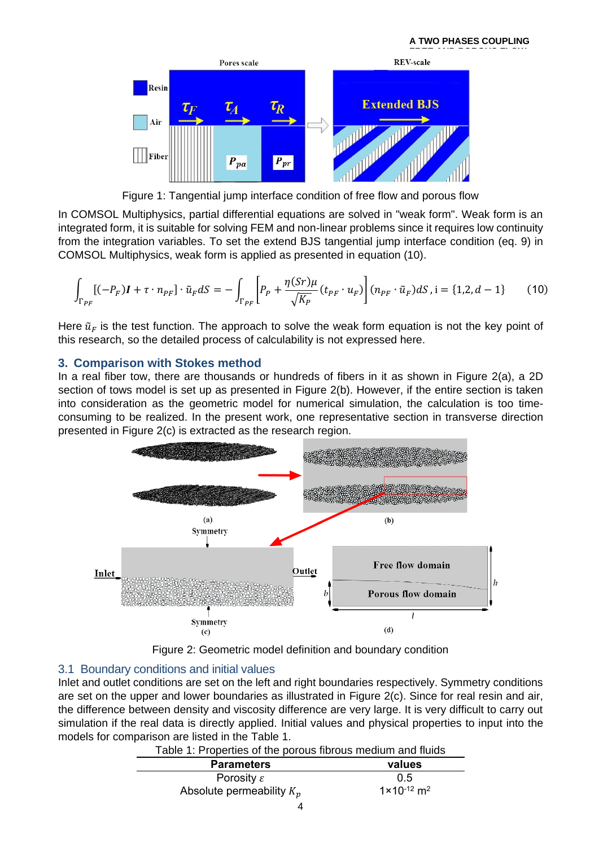

Figure 1: Tangential jump interface condition of free flow and porous flow

<span id="page-3-0"></span>In COMSOL Multiphysics, partial differential equations are solved in "weak form". Weak form is an integrated form, it is suitable for solving FEM and non-linear problems since it requires low continuity from the integration variables. To set the extend BJS tangential jump interface condition (eq. 9) in COMSOL Multiphysics, weak form is applied as presented in equation (10).

$$
\int_{\Gamma_{PF}} [(-P_F)I + \tau \cdot n_{PF}] \cdot \tilde{u}_F dS = -\int_{\Gamma_{PF}} \left[ P_P + \frac{\eta(Sr)\mu}{\sqrt{K_P}} (t_{PF} \cdot u_F) \right] (n_{PF} \cdot \tilde{u}_F) dS, i = \{1, 2, d - 1\}
$$
 (10)

Here  $\tilde{u}_F$  is the test function. The approach to solve the weak form equation is not the key point of this research, so the detailed process of calculability is not expressed here.

## **3. Comparison with Stokes method**

In a real fiber tow, there are thousands or hundreds of fibers in it as shown in [Figure 2\(](#page-3-1)a), a 2D section of tows model is set up as presented in [Figure 2\(](#page-3-1)b). However, if the entire section is taken into consideration as the geometric model for numerical simulation, the calculation is too timeconsuming to be realized. In the present work, one representative section in transverse direction presented in [Figure 2\(](#page-3-1)c) is extracted as the research region.



Figure 2: Geometric model definition and boundary condition

## <span id="page-3-1"></span>3.1 Boundary conditions and initial values

<span id="page-3-2"></span>Inlet and outlet conditions are set on the left and right boundaries respectively. Symmetry conditions are set on the upper and lower boundaries as illustrated in [Figure 2\(](#page-3-1)c). Since for real resin and air, the difference between density and viscosity difference are very large. It is very difficult to carry out simulation if the real data is directly applied. Initial values and physical properties to input into the models for comparison are listed in the [Table 1.](#page-3-2)

| <b>Parameters</b>           | values                             |
|-----------------------------|------------------------------------|
| Porosity $\varepsilon$      | 0.5                                |
| Absolute permeability $K_n$ | $1 \times 10^{-12}$ m <sup>2</sup> |
|                             |                                    |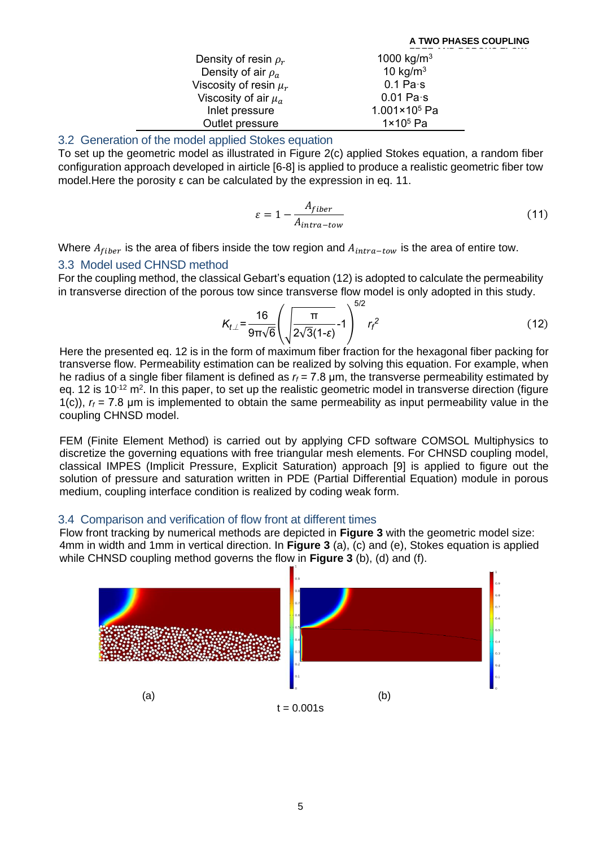| Density of resin $\rho_r$  | 1000 kg/m <sup>3</sup> |
|----------------------------|------------------------|
| Density of air $\rho_a$    | 10 kg/ $m3$            |
| Viscosity of resin $\mu_r$ | $0.1$ Pa $\cdot$ s     |
| Viscosity of air $\mu_a$   | $0.01$ Pa $\cdot$ s    |
| Inlet pressure             | $1.001 \times 10^5$ Pa |
| Outlet pressure            | $1 \times 10^5$ Pa     |

## 3.2 Generation of the model applied Stokes equation

To set up the geometric model as illustrated in [Figure 2\(](#page-3-1)c) applied Stokes equation, a random fiber configuration approach developed in airticle [6-8] is applied to produce a realistic geometric fiber tow model.Here the porosity ε can be calculated by the expression in eq. 11.

$$
\varepsilon = 1 - \frac{A_{fiber}}{A_{intra-tow}}
$$
 (11)

Where  $A_{fiber}$  is the area of fibers inside the tow region and  $A_{intra-tow}$  is the area of entire tow.

### 3.3 Model used CHNSD method

For the coupling method, the classical Gebart's equation (12) is adopted to calculate the permeability in transverse direction of the porous tow since transverse flow model is only adopted in this study.

$$
K_{t\perp} = \frac{16}{9\pi\sqrt{6}} \left( \sqrt{\frac{\pi}{2\sqrt{3}}(1-\epsilon)} - 1 \right)^{5/2} r_f^2
$$
 (12)

Here the presented eq. 12 is in the form of maximum fiber fraction for the hexagonal fiber packing for transverse flow. Permeability estimation can be realized by solving this equation. For example, when he radius of a single fiber filament is defined as  $r_f = 7.8$   $\mu$ m, the transverse permeability estimated by eq. 12 is 10<sup>-12</sup> m<sup>2</sup>. In this paper, to set up the realistic geometric model in transverse direction (figure 1(c)),  $r_f$  = 7.8 µm is implemented to obtain the same permeability as input permeability value in the coupling CHNSD model.

FEM (Finite Element Method) is carried out by applying CFD software COMSOL Multiphysics to discretize the governing equations with free triangular mesh elements. For CHNSD coupling model, classical IMPES (Implicit Pressure, Explicit Saturation) approach [9] is applied to figure out the solution of pressure and saturation written in PDE (Partial Differential Equation) module in porous medium, coupling interface condition is realized by coding weak form.

## 3.4 Comparison and verification of flow front at different times

Flow front tracking by numerical methods are depicted in **[Figure 3](#page-5-0)** with the geometric model size: 4mm in width and 1mm in vertical direction. In **[Figure 3](#page-5-0)** (a), (c) and (e), Stokes equation is applied while CHNSD coupling method governs the flow in **[Figure 3](#page-5-0)** (b), (d) and (f).

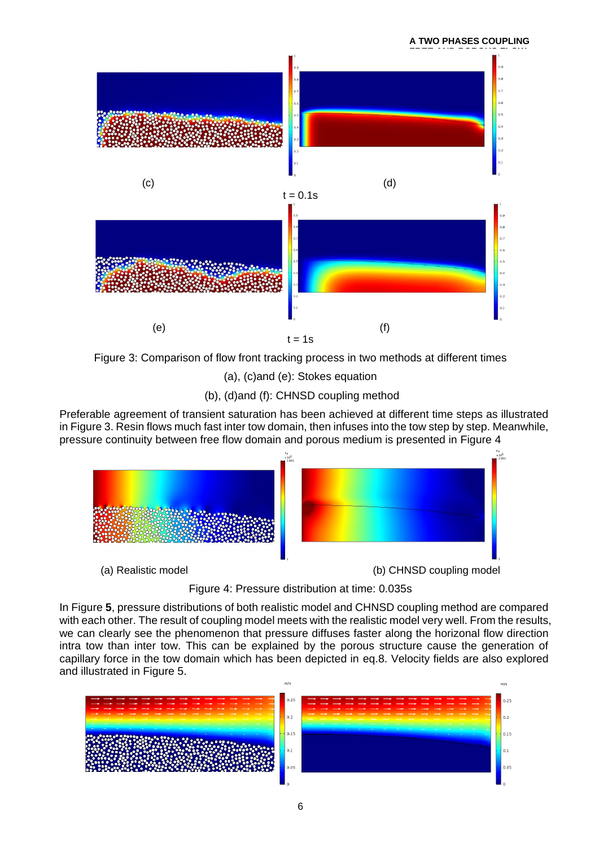

<span id="page-5-0"></span>Figure 3: Comparison of flow front tracking process in two methods at different times

(a), (c)and (e): Stokes equation

(b), (d)and (f): CHNSD coupling method

Preferable agreement of transient saturation has been achieved at different time steps as illustrated in [Figure 3.](#page-5-0) Resin flows much fast inter tow domain, then infuses into the tow step by step. Meanwhile, pressure continuity between free flow domain and porous medium is presented in [Figure 4](#page-5-1)



Figure 4: Pressure distribution at time: 0.035s

<span id="page-5-1"></span>In [Figure](#page-6-0) **5**, pressure distributions of both realistic model and CHNSD coupling method are compared with each other. The result of coupling model meets with the realistic model very well. From the results, we can clearly see the phenomenon that pressure diffuses faster along the horizonal flow direction intra tow than inter tow. This can be explained by the porous structure cause the generation of capillary force in the tow domain which has been depicted in eq.8. Velocity fields are also explored and illustrated in [Figure 5.](#page-6-0)

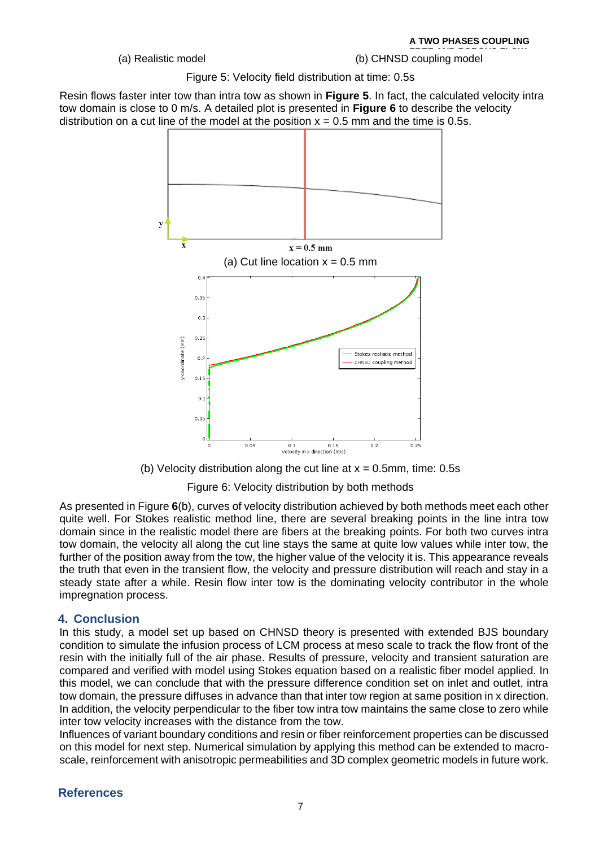**FREE AND POROUS FLOW** (a) Realistic model **NUMERICAL SIMULATION (b)** CHNSD coupling model

> **METHOD OF LCM PROCESS** Figure 5: Velocity field distribution at time: 0.5s

<span id="page-6-0"></span>Resin flows faster inter tow than intra tow as shown in **[Figure 5](#page-6-0)**. In fact, the calculated velocity intra tow domain is close to 0 m/s. A detailed plot is presented in **[Figure 6](#page-6-1)** to describe the velocity distribution on a cut line of the model at the position  $x = 0.5$  mm and the time is 0.5s.



(b) Velocity distribution along the cut line at  $x = 0.5$ mm, time: 0.5s

Figure 6: Velocity distribution by both methods

<span id="page-6-1"></span>As presented in [Figure](#page-6-1) **6**(b), curves of velocity distribution achieved by both methods meet each other quite well. For Stokes realistic method line, there are several breaking points in the line intra tow domain since in the realistic model there are fibers at the breaking points. For both two curves intra tow domain, the velocity all along the cut line stays the same at quite low values while inter tow, the further of the position away from the tow, the higher value of the velocity it is. This appearance reveals the truth that even in the transient flow, the velocity and pressure distribution will reach and stay in a steady state after a while. Resin flow inter tow is the dominating velocity contributor in the whole impregnation process.

## **4. Conclusion**

In this study, a model set up based on CHNSD theory is presented with extended BJS boundary condition to simulate the infusion process of LCM process at meso scale to track the flow front of the resin with the initially full of the air phase. Results of pressure, velocity and transient saturation are compared and verified with model using Stokes equation based on a realistic fiber model applied. In this model, we can conclude that with the pressure difference condition set on inlet and outlet, intra tow domain, the pressure diffuses in advance than that inter tow region at same position in x direction. In addition, the velocity perpendicular to the fiber tow intra tow maintains the same close to zero while inter tow velocity increases with the distance from the tow.

Influences of variant boundary conditions and resin or fiber reinforcement properties can be discussed on this model for next step. Numerical simulation by applying this method can be extended to macroscale, reinforcement with anisotropic permeabilities and 3D complex geometric models in future work.